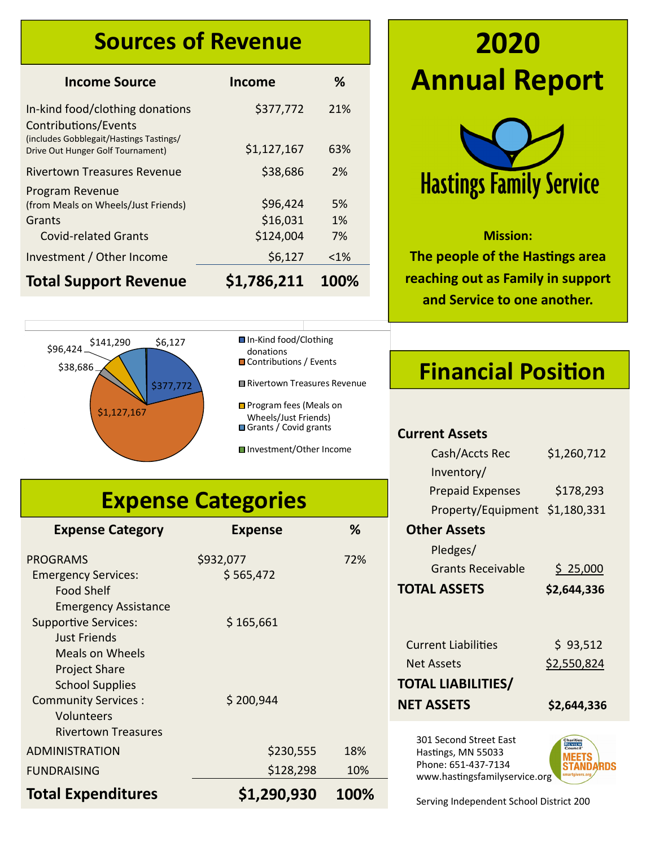#### **Sources of Revenue**

| <b>Income Source</b>                                                                            | <b>Income</b>                     | %                 |
|-------------------------------------------------------------------------------------------------|-----------------------------------|-------------------|
| In-kind food/clothing donations<br>Contributions/Events                                         | \$377,772                         | 21%               |
| (includes Gobblegait/Hastings Tastings/<br>Drive Out Hunger Golf Tournament)                    | \$1,127,167                       | 63%               |
| Rivertown Treasures Revenue                                                                     | \$38,686                          | 2%                |
| Program Revenue<br>(from Meals on Wheels/Just Friends)<br>Grants<br><b>Covid-related Grants</b> | \$96,424<br>\$16,031<br>\$124,004 | 5%<br>$1\%$<br>7% |
| Investment / Other Income                                                                       | \$6,127                           | $< 1\%$           |
| <b>Total Support Revenue</b>                                                                    | \$1,786,211                       | 100%              |



| <b>■In-Kind food/Clothing</b>   |  |
|---------------------------------|--|
| donations                       |  |
| <b>■ Contributions / Events</b> |  |

Rivertown Treasures Revenue

**D** Program fees (Meals on Wheels/Just Friends) Grants / Covid grants

■Investment/Other Income

### **Expense Categories**

| <b>Expense Category</b>                                    | <b>Expense</b> | ℅    |
|------------------------------------------------------------|----------------|------|
| <b>PROGRAMS</b>                                            | \$932,077      | 72%  |
| <b>Emergency Services:</b><br><b>Food Shelf</b>            | \$565,472      |      |
| <b>Emergency Assistance</b><br><b>Supportive Services:</b> | \$165,661      |      |
| <b>Just Friends</b>                                        |                |      |
| Meals on Wheels                                            |                |      |
| <b>Project Share</b><br><b>School Supplies</b>             |                |      |
| <b>Community Services:</b>                                 | \$200,944      |      |
| Volunteers                                                 |                |      |
| <b>Rivertown Treasures</b>                                 |                |      |
| ADMINISTRATION                                             | \$230,555      | 18%  |
| <b>FUNDRAISING</b>                                         | \$128,298      | 10%  |
| <b>Total Expenditures</b>                                  | \$1,290,930    | 100% |

# **2020 Annual Report**



#### **Mission:**

**The people of the Hastings area reaching out as Family in support and Service to one another.**

### **Financial Position**

#### **Current Assets**

| Cash/Accts Rec                                                                                       | \$1,260,712 |
|------------------------------------------------------------------------------------------------------|-------------|
| Inventory/                                                                                           |             |
| <b>Prepaid Expenses</b>                                                                              | \$178,293   |
| Property/Equipment                                                                                   | \$1,180,331 |
| <b>Other Assets</b>                                                                                  |             |
| Pledges/                                                                                             |             |
| Grants Receivable                                                                                    | \$25,000    |
| <b>TOTAL ASSETS</b>                                                                                  | \$2,644,336 |
|                                                                                                      |             |
| <b>Current Liabilities</b>                                                                           | \$93,512    |
|                                                                                                      |             |
| Net Assets                                                                                           | \$2,550,824 |
| TOTAL LIABILITIES/                                                                                   |             |
| <b>NET ASSETS</b>                                                                                    | \$2,644,336 |
| 301 Second Street East<br>Hastings, MN 55033<br>Phone: 651-437-7134<br>www.hastingsfamilyservice.org | ARNS        |

Serving Independent School District 200